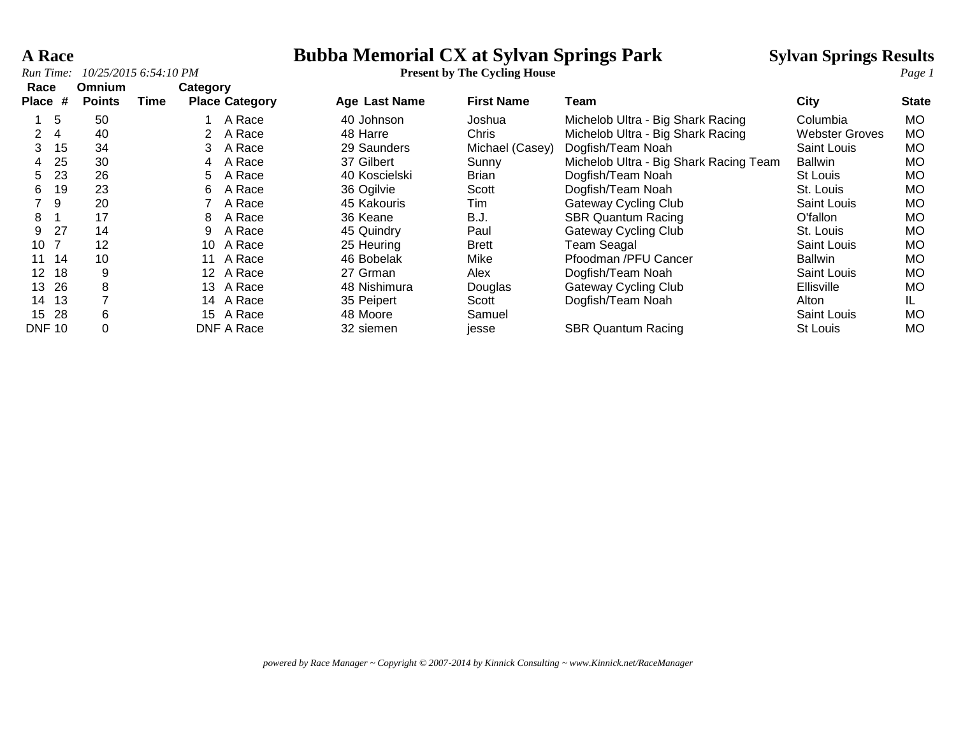*Run Time:*  $10/25/20156:54:10 PM$ 

# **A Race Bubba Memorial CX at Sylvan Springs Park Sylvan Springs Results**<br>*Run Time:* 10/25/2015 6:54:10 PM<br>*Page 1*

| Race<br>Place #         | Omnium<br><b>Points</b> | Time | Category        | <b>Place Category</b> | <b>Age Last Name</b> | <b>First Name</b> | Team                                   | City                  | <b>State</b> |
|-------------------------|-------------------------|------|-----------------|-----------------------|----------------------|-------------------|----------------------------------------|-----------------------|--------------|
|                         |                         |      |                 |                       |                      |                   |                                        |                       |              |
| 5                       | 50                      |      |                 | A Race                | 40 Johnson           | Joshua            | Michelob Ultra - Big Shark Racing      | Columbia              | MO.          |
| $\overline{4}$          | 40                      |      |                 | A Race                | 48 Harre             | Chris             | Michelob Ultra - Big Shark Racing      | <b>Webster Groves</b> | МO           |
| 15<br>3                 | 34                      |      | 3               | A Race                | 29 Saunders          | Michael (Casey)   | Dogfish/Team Noah                      | Saint Louis           | MO.          |
| 25<br>4                 | 30                      |      | 4               | A Race                | 37 Gilbert           | Sunny             | Michelob Ultra - Big Shark Racing Team | <b>Ballwin</b>        | MO.          |
| 23<br>5.                | 26                      |      | 5               | A Race                | 40 Koscielski        | <b>Brian</b>      | Dogfish/Team Noah                      | St Louis              | MO.          |
| 19<br>6                 | 23                      |      | 6               | A Race                | 36 Ogilvie           | Scott             | Dogfish/Team Noah                      | St. Louis             | MO.          |
| -9                      | 20                      |      |                 | A Race                | 45 Kakouris          | Tim               | <b>Gateway Cycling Club</b>            | <b>Saint Louis</b>    | MO.          |
| 8                       | 17                      |      | 8               | A Race                | 36 Keane             | B.J.              | <b>SBR Quantum Racing</b>              | O'fallon              | MO.          |
| 27<br>9                 | 14                      |      | 9               | A Race                | 45 Quindry           | Paul              | <b>Gateway Cycling Club</b>            | St. Louis             | MO.          |
| 10                      | 12                      |      | 10              | A Race                | 25 Heuring           | <b>Brett</b>      | Team Seagal                            | Saint Louis           | MO.          |
| 14<br>11                | 10                      |      |                 | A Race                | 46 Bobelak           | Mike              | Pfoodman /PFU Cancer                   | <b>Ballwin</b>        | MO.          |
| 18<br>$12 \overline{ }$ | 9                       |      | 12 <sup>1</sup> | A Race                | 27 Grman             | Alex              | Dogfish/Team Noah                      | Saint Louis           | MO.          |
| -26<br>13               | 8                       |      | 13              | A Race                | 48 Nishimura         | Douglas           | <b>Gateway Cycling Club</b>            | Ellisville            | MO.          |
| -13<br>14               |                         |      | 14              | A Race                | 35 Peipert           | Scott             | Dogfish/Team Noah                      | Alton                 | IL.          |
| -28<br>15               | 6                       |      | 15              | A Race                | 48 Moore             | Samuel            |                                        | Saint Louis           | MO.          |
| <b>DNF 10</b>           | 0                       |      |                 | DNF A Race            | 32 siemen            | jesse             | <b>SBR Quantum Racing</b>              | St Louis              | МO           |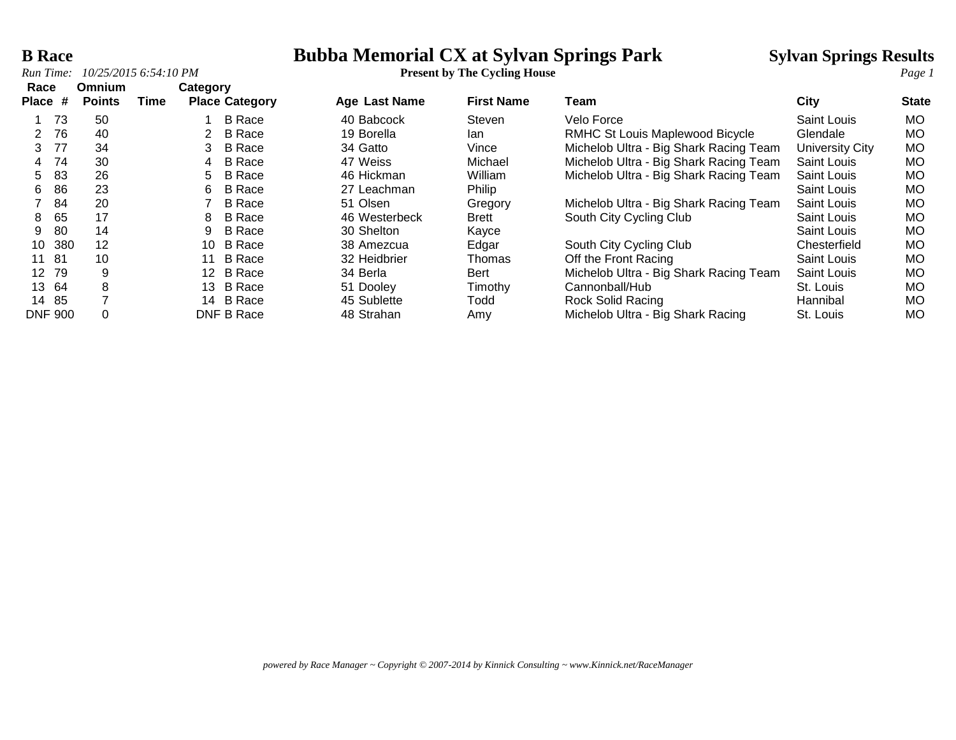*Run Time:*  $10/25/2015$  6:54:10 PM

# **B Race**<br> **Bubba Memorial CX at Sylvan Springs Park** Sylvan Springs Results<br> **Bubba Memorial CX at Sylvan Springs Park** Sylvan Springs Results<br> **Page 1**

| Race                  | <b>Omnium</b> |      | Category |                       |               |                   |                                        |                    |              |
|-----------------------|---------------|------|----------|-----------------------|---------------|-------------------|----------------------------------------|--------------------|--------------|
| Place #               | <b>Points</b> | Time |          | <b>Place Category</b> | Age Last Name | <b>First Name</b> | Team                                   | City               | <b>State</b> |
| -73                   | 50            |      |          | B Race                | 40 Babcock    | <b>Steven</b>     | Velo Force                             | Saint Louis        | <b>MO</b>    |
| 76                    | 40            |      |          | B Race                | 19 Borella    | lan               | RMHC St Louis Maplewood Bicycle        | Glendale           | <b>MO</b>    |
| 77<br>3               | 34            |      |          | B Race                | 34 Gatto      | Vince             | Michelob Ultra - Big Shark Racing Team | University City    | MO           |
| 74<br>4               | 30            |      | 4        | B Race                | 47 Weiss      | Michael           | Michelob Ultra - Big Shark Racing Team | Saint Louis        | <b>MO</b>    |
| 83<br>5.              | 26            |      | 5.       | B Race                | 46 Hickman    | William           | Michelob Ultra - Big Shark Racing Team | <b>Saint Louis</b> | <b>MO</b>    |
| 86<br>6               | 23            |      | 6        | B Race                | 27 Leachman   | Philip            |                                        | Saint Louis        | <b>MO</b>    |
| 84                    | 20            |      |          | <b>B</b> Race         | 51 Olsen      | Gregory           | Michelob Ultra - Big Shark Racing Team | Saint Louis        | <b>MO</b>    |
| 65<br>8               | 17            |      | 8        | <b>B</b> Race         | 46 Westerbeck | <b>Brett</b>      | South City Cycling Club                | Saint Louis        | <b>MO</b>    |
| 80<br>9               | 14            |      | 9        | B Race                | 30 Shelton    | Kayce             |                                        | Saint Louis        | <b>MO</b>    |
| 380<br>10             | 12            |      | 10       | B Race                | 38 Amezcua    | Edgar             | South City Cycling Club                | Chesterfield       | <b>MO</b>    |
| -81<br>11             | 10            |      | 11       | B Race                | 32 Heidbrier  | Thomas            | Off the Front Racing                   | <b>Saint Louis</b> | <b>MO</b>    |
| 79<br>12 <sup>°</sup> | 9             |      |          | 12 B Race             | 34 Berla      | <b>Bert</b>       | Michelob Ultra - Big Shark Racing Team | <b>Saint Louis</b> | <b>MO</b>    |
| 64<br>13              | 8             |      | 13.      | B Race                | 51 Dooley     | Timothy           | Cannonball/Hub                         | St. Louis          | <b>MO</b>    |
| -85<br>14             | ⇁             |      |          | 14 B Race             | 45 Sublette   | Todd              | <b>Rock Solid Racing</b>               | Hannibal           | <b>MO</b>    |
| <b>DNF 900</b>        |               |      |          | DNF B Race            | 48 Strahan    | Amy               | Michelob Ultra - Big Shark Racing      | St. Louis          | <b>MO</b>    |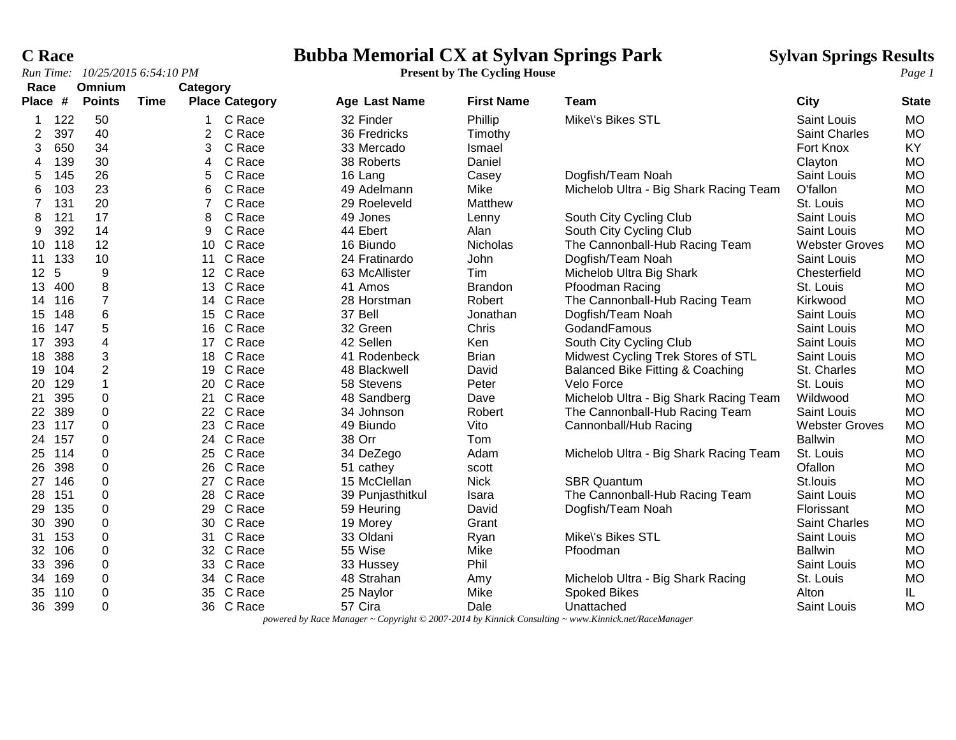# **C Race**<br> **Bubba Memorial CX at Sylvan Springs Park** Sylvan Springs Results<br> **Page 1** Present by The Cycling House Page 1

| Race           |     | Omnium                  |      | Category       |                       |                      |                   |                                             |                       |              |
|----------------|-----|-------------------------|------|----------------|-----------------------|----------------------|-------------------|---------------------------------------------|-----------------------|--------------|
| Place #        |     | <b>Points</b>           | Time |                | <b>Place Category</b> | <b>Age Last Name</b> | <b>First Name</b> | Team                                        | <b>City</b>           | <b>State</b> |
|                | 122 | 50                      |      | 1              | C Race                | 32 Finder            | Phillip           | Mike\'s Bikes STL                           | Saint Louis           | <b>MO</b>    |
| 2              | 397 | 40                      |      | 2              | C Race                | 36 Fredricks         | Timothy           |                                             | <b>Saint Charles</b>  | <b>MO</b>    |
| 3              | 650 | 34                      |      | 3              | C Race                | 33 Mercado           | Ismael            |                                             | Fort Knox             | KY           |
| 4              | 139 | 30                      |      | 4              | C Race                | 38 Roberts           | Daniel            |                                             | Clayton               | <b>MO</b>    |
| 5              | 145 | 26                      |      | 5              | C Race                | 16 Lang              | Casey             | Dogfish/Team Noah                           | Saint Louis           | <b>MO</b>    |
| 6              | 103 | 23                      |      | 6              | C Race                | 49 Adelmann          | Mike              | Michelob Ultra - Big Shark Racing Team      | O'fallon              | <b>MO</b>    |
| $\overline{7}$ | 131 | 20                      |      | $\overline{7}$ | C Race                | 29 Roeleveld         | Matthew           |                                             | St. Louis             | <b>MO</b>    |
| 8              | 121 | 17                      |      | 8              | C Race                | 49 Jones             | Lenny             | South City Cycling Club                     | Saint Louis           | <b>MO</b>    |
| 9              | 392 | 14                      |      | 9              | C Race                | 44 Ebert             | Alan              | South City Cycling Club                     | <b>Saint Louis</b>    | <b>MO</b>    |
| 10             | 118 | 12                      |      |                | 10 C Race             | 16 Biundo            | Nicholas          | The Cannonball-Hub Racing Team              | <b>Webster Groves</b> | <b>MO</b>    |
| 11             | 133 | 10                      |      | 11             | C Race                | 24 Fratinardo        | John              | Dogfish/Team Noah                           | Saint Louis           | <b>MO</b>    |
| 12             | 5   | $\boldsymbol{9}$        |      |                | 12 C Race             | 63 McAllister        | Tim               | Michelob Ultra Big Shark                    | Chesterfield          | <b>MO</b>    |
| 13             | 400 | 8                       |      |                | 13 C Race             | 41 Amos              | <b>Brandon</b>    | Pfoodman Racing                             | St. Louis             | <b>MO</b>    |
| 14             | 116 | $\overline{7}$          |      |                | 14 C Race             | 28 Horstman          | Robert            | The Cannonball-Hub Racing Team              | Kirkwood              | <b>MO</b>    |
| 15             | 148 | $\,6$                   |      | 15             | C Race                | 37 Bell              | Jonathan          | Dogfish/Team Noah                           | Saint Louis           | <b>MO</b>    |
| 16             | 147 | 5                       |      |                | 16 C Race             | 32 Green             | Chris             | GodandFamous                                | Saint Louis           | <b>MO</b>    |
| 17             | 393 | $\overline{\mathbf{4}}$ |      |                | 17 C Race             | 42 Sellen            | Ken               | South City Cycling Club                     | <b>Saint Louis</b>    | <b>MO</b>    |
| 18             | 388 | $\sqrt{3}$              |      |                | 18 C Race             | 41 Rodenbeck         | <b>Brian</b>      | Midwest Cycling Trek Stores of STL          | Saint Louis           | <b>MO</b>    |
| 19             | 104 | $\overline{2}$          |      | 19             | C Race                | 48 Blackwell         | David             | <b>Balanced Bike Fitting &amp; Coaching</b> | St. Charles           | <b>MO</b>    |
| 20             | 129 | $\mathbf{1}$            |      | 20             | C Race                | 58 Stevens           | Peter             | Velo Force                                  | St. Louis             | <b>MO</b>    |
| 21             | 395 | 0                       |      | 21             | C Race                | 48 Sandberg          | Dave              | Michelob Ultra - Big Shark Racing Team      | Wildwood              | <b>MO</b>    |
| 22             | 389 | $\boldsymbol{0}$        |      |                | 22 C Race             | 34 Johnson           | Robert            | The Cannonball-Hub Racing Team              | Saint Louis           | <b>MO</b>    |
| 23             | 117 | 0                       |      |                | 23 C Race             | 49 Biundo            | Vito              | Cannonball/Hub Racing                       | <b>Webster Groves</b> | <b>MO</b>    |
| 24             | 157 | 0                       |      |                | 24 C Race             | 38 Orr               | Tom               |                                             | <b>Ballwin</b>        | <b>MO</b>    |
| 25             | 114 | $\boldsymbol{0}$        |      |                | 25 C Race             | 34 DeZego            | Adam              | Michelob Ultra - Big Shark Racing Team      | St. Louis             | <b>MO</b>    |
| 26             | 398 | 0                       |      |                | 26 C Race             | 51 cathey            | scott             |                                             | Ofallon               | <b>MO</b>    |
| 27             | 146 | $\boldsymbol{0}$        |      | 27             | C Race                | 15 McClellan         | <b>Nick</b>       | <b>SBR Quantum</b>                          | St.louis              | <b>MO</b>    |
| 28             | 151 | 0                       |      |                | 28 C Race             | 39 Punjasthitkul     | Isara             | The Cannonball-Hub Racing Team              | Saint Louis           | <b>MO</b>    |
| 29             | 135 | 0                       |      | 29             | C Race                | 59 Heuring           | David             | Dogfish/Team Noah                           | Florissant            | <b>MO</b>    |
| 30             | 390 | $\boldsymbol{0}$        |      |                | 30 C Race             | 19 Morey             | Grant             |                                             | Saint Charles         | <b>MO</b>    |
| 31             | 153 | $\boldsymbol{0}$        |      | 31             | C Race                | 33 Oldani            | Ryan              | Mike\'s Bikes STL                           | Saint Louis           | <b>MO</b>    |
| 32             | 106 | $\boldsymbol{0}$        |      |                | 32 C Race             | 55 Wise              | Mike              | Pfoodman                                    | <b>Ballwin</b>        | <b>MO</b>    |
| 33             | 396 | $\boldsymbol{0}$        |      |                | 33 C Race             | 33 Hussey            | Phil              |                                             | Saint Louis           | <b>MO</b>    |
| 34             | 169 | $\boldsymbol{0}$        |      |                | 34 C Race             | 48 Strahan           | Amy               | Michelob Ultra - Big Shark Racing           | St. Louis             | <b>MO</b>    |
| 35             | 110 | $\boldsymbol{0}$        |      | 35             | C Race                | 25 Naylor            | Mike              | <b>Spoked Bikes</b>                         | Alton                 | IL           |
| 36             | 399 | 0                       |      |                | 36 C Race             | 57 Cira              | Dale              | Unattached                                  | Saint Louis           | <b>MO</b>    |

*powered by Race Manager ~ Copyright © 2007-2014 by Kinnick Consulting ~ www.Kinnick.net/RaceManager*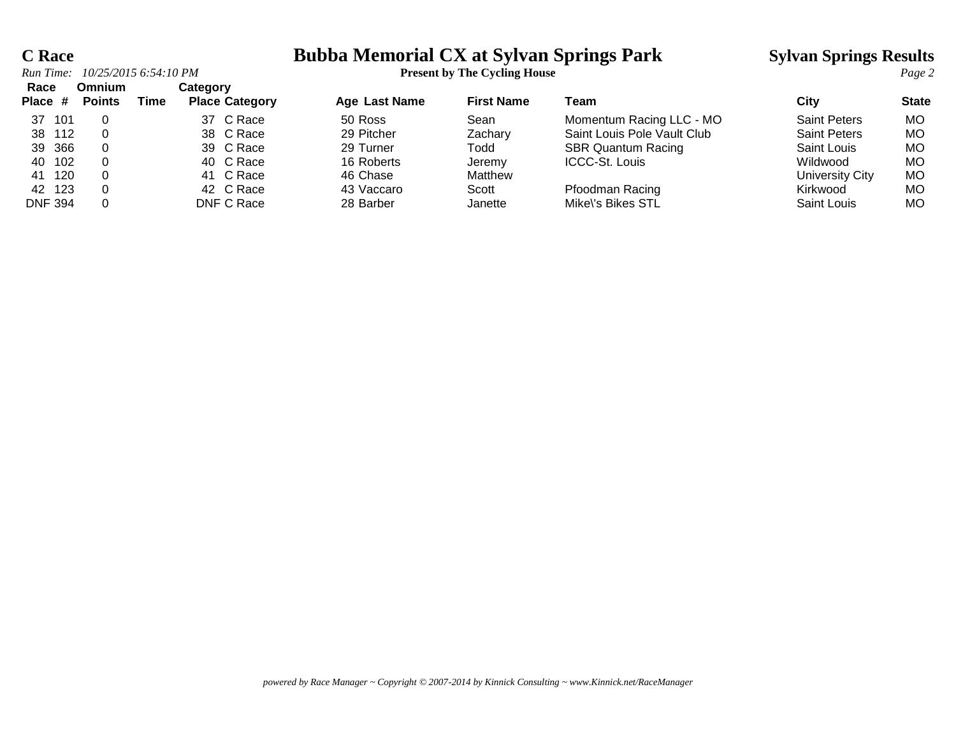## **C Race Bubba Memorial CX at Sylvan Springs Park Sylvan Springs Results**

| Run Time:       | 10/25/2015 6:54:10 PM   |      |                                   |                      | <b>Present by The Cycling House</b> |                             |                     |              |
|-----------------|-------------------------|------|-----------------------------------|----------------------|-------------------------------------|-----------------------------|---------------------|--------------|
| Race<br>Place # | Omnium<br><b>Points</b> | Time | Category<br><b>Place Category</b> | <b>Age Last Name</b> | <b>First Name</b>                   | Team                        | City                | <b>State</b> |
| -101<br>37      |                         |      | 37 C Race                         | 50 Ross              | Sean                                | Momentum Racing LLC - MO    | <b>Saint Peters</b> | MO.          |
| 38 112          |                         |      | 38 C Race                         | 29 Pitcher           | Zachary                             | Saint Louis Pole Vault Club | <b>Saint Peters</b> | MO.          |
| 39 366          |                         |      | 39 C Race                         | 29 Turner            | Todd                                | <b>SBR Quantum Racing</b>   | Saint Louis         | МO           |
| 102<br>40       |                         |      | 40 C Race                         | 16 Roberts           | Jeremy                              | <b>ICCC-St. Louis</b>       | Wildwood            | МO           |
| 120<br>41       |                         |      | 41 C Race                         | 46 Chase             | Matthew                             |                             | University City     | MO.          |
| 42<br>123       |                         |      | 42 C Race                         | 43 Vaccaro           | Scott                               | Pfoodman Racing             | Kirkwood            | <b>MO</b>    |
| <b>DNF 394</b>  |                         |      | DNF C Race                        | 28 Barber            | Janette                             | Mike\'s Bikes STL           | Saint Louis         | MО           |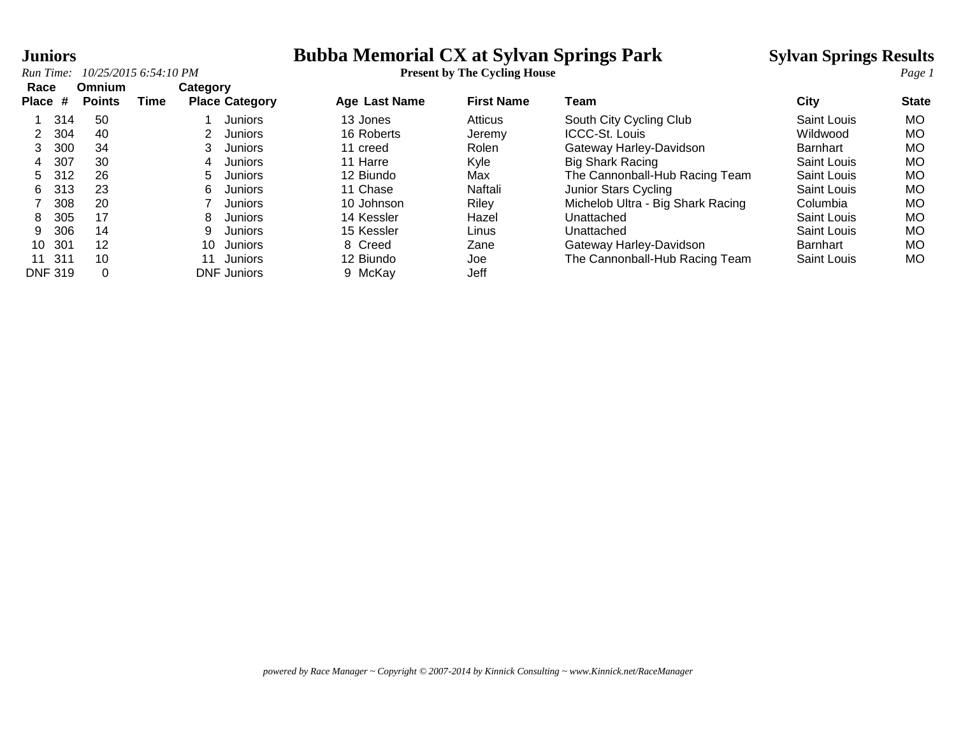## **Tuniors Bubba Memorial CX at Sylvan Springs Park Sylvan Springs Results**

*Run Time: 10/25/2015 6:54:10 PM* **Present by The Cycling House** *Page 1* **Race Omnium Category Place # Points Time Place Category Age Last Name First Name Team City State** 1 314 50 1 Juniors 13 Jones Atticus South City Cycling Club Saint Louis MO 2 304 40 2 Juniors 16 Roberts Jeremy ICCC-St. Louis Wildwood MO 3 300 34 3 Juniors 11 creed Rolen Gateway Harley-Davidson Barnhart MO 4 307 30 4 Juniors 11 Harre Kyle Big Shark Racing Saint Louis MO 5 312 26 5 Juniors 12 Biundo Max The Cannonball-Hub Racing Team Saint Louis MO 6 313 23 6 Juniors 11 Chase Naftali Junior Stars Cycling Saint Louis MO 7 308 20 7 Juniors 10 Johnson Riley Michelob Ultra - Big Shark Racing Columbia MO 8 305 17 8 Juniors 14 Kessler Hazel Unattached Saint Louis MO 9 306 14 9 Juniors 15 Kessler Linus Unattached Saint Louis MO 10 301 12 10 Juniors 8 Creed Zane Gateway Harley-Davidson Barnhart MO 11 311 10 11 Juniors 12 Biundo Joe The Cannonball-Hub Racing Team Saint Louis MO DNF 319 0 DNF Juniors 9 McKay Jeff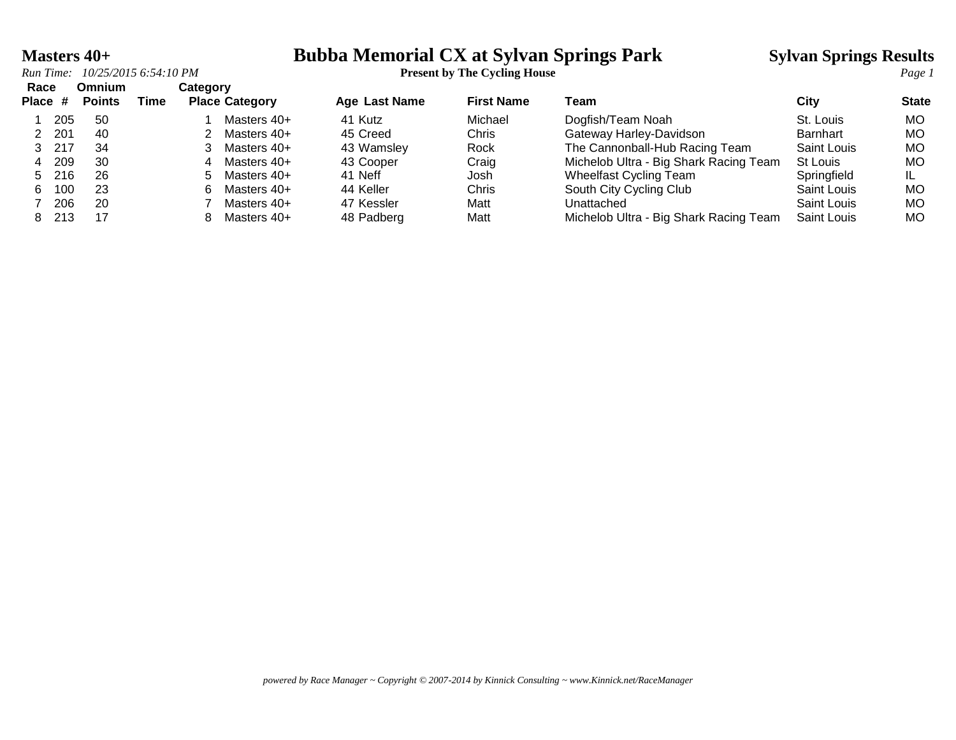## **Masters 40+ Bubba Memorial CX at Sylvan Springs Park Sylvan Springs Results**

| Race<br>Place # |       | Omnium<br><b>Points</b> | Time | Category | <b>Place Category</b> | <b>Age Last Name</b> | <b>First Name</b> | Team                                   | City               | <b>State</b> |
|-----------------|-------|-------------------------|------|----------|-----------------------|----------------------|-------------------|----------------------------------------|--------------------|--------------|
|                 | 205   | -50                     |      |          | Masters 40+           | 41 Kutz              | Michael           | Dogfish/Team Noah                      | St. Louis          | <b>MO</b>    |
|                 | 201   | 40                      |      |          | Masters 40+           | 45 Creed             | Chris             | Gateway Harley-Davidson                | <b>Barnhart</b>    | MO.          |
| 3               | 217   | 34                      |      |          | Masters 40+           | 43 Wamsley           | Rock              | The Cannonball-Hub Racing Team         | Saint Louis        | MO.          |
| 4               | 209   | 30                      |      |          | Masters 40+           | 43 Cooper            | Craig             | Michelob Ultra - Big Shark Racing Team | St Louis           | <b>MO</b>    |
| 5               | - 216 | 26                      |      | h.       | Masters 40+           | 41 Neff              | Josh              | <b>Wheelfast Cycling Team</b>          | Springfield        | IL.          |
| 6.              | 100   | 23                      |      |          | Masters 40+           | 44 Keller            | Chris             | South City Cycling Club                | Saint Louis        | MO.          |
|                 | 206   | 20                      |      |          | Masters 40+           | 47 Kessler           | Matt              | Unattached                             | Saint Louis        | <b>MO</b>    |
| 8               | 213   | 17                      |      |          | Masters 40+           | 48 Padberg           | Matt              | Michelob Ultra - Big Shark Racing Team | <b>Saint Louis</b> | МO           |

*powered by Race Manager ~ Copyright © 2007-2014 by Kinnick Consulting ~ www.Kinnick.net/RaceManager*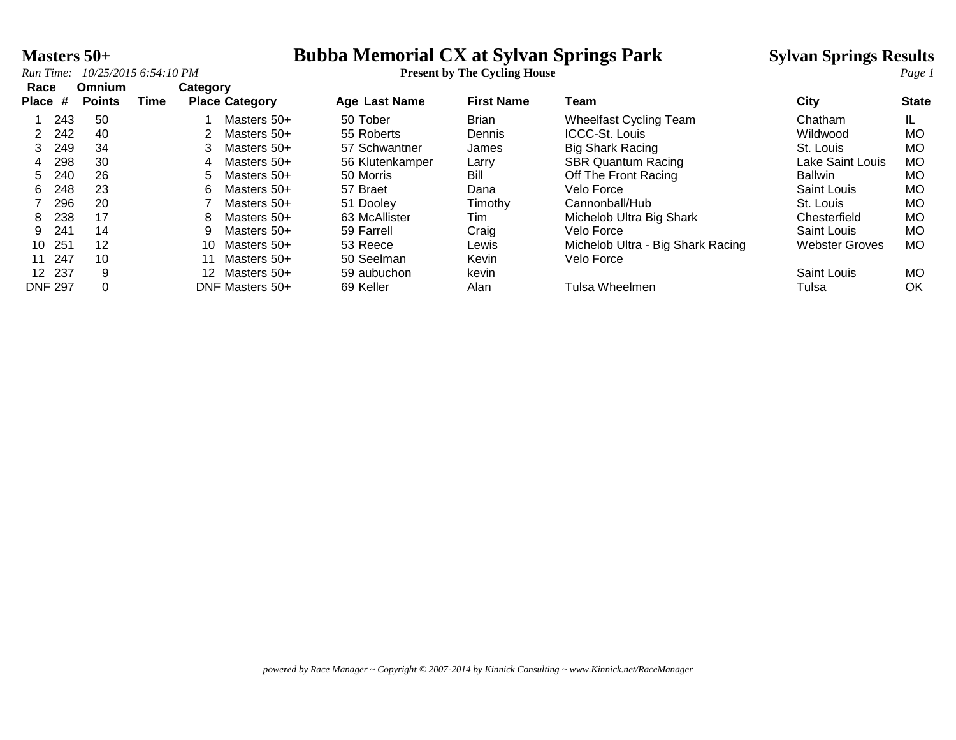## **Masters 50+ Bubba Memorial CX at Sylvan Springs Park** Sylvan Springs Results<br> **Run Time:** 10/25/2015 6:54:10 PM<br> **Present by The Cycling House**

| Race           |     | Omnium        |      | Category         |                       |                 |                   |                                   |                       |              |
|----------------|-----|---------------|------|------------------|-----------------------|-----------------|-------------------|-----------------------------------|-----------------------|--------------|
| <b>Place</b>   | #   | <b>Points</b> | Time |                  | <b>Place Category</b> | Age Last Name   | <b>First Name</b> | Team                              | City                  | <b>State</b> |
|                | 243 | 50            |      |                  | Masters 50+           | 50 Tober        | <b>Brian</b>      | <b>Wheelfast Cycling Team</b>     | Chatham               |              |
|                | 242 | 40            |      |                  | Masters 50+           | 55 Roberts      | Dennis            | <b>ICCC-St. Louis</b>             | Wildwood              | МO           |
| 3              | 249 | 34            |      |                  | Masters 50+           | 57 Schwantner   | James             | <b>Big Shark Racing</b>           | St. Louis             | <b>MO</b>    |
| 4              | 298 | 30            |      | 4                | Masters 50+           | 56 Klutenkamper | Larry             | <b>SBR Quantum Racing</b>         | Lake Saint Louis      | <b>MO</b>    |
| 5.             | 240 | 26            |      | 5                | Masters 50+           | 50 Morris       | Bill              | Off The Front Racing              | <b>Ballwin</b>        | МO           |
| 6              | 248 | 23            |      | 6                | Masters 50+           | 57 Braet        | Dana              | Velo Force                        | Saint Louis           | МO           |
|                | 296 | 20            |      |                  | Masters 50+           | 51 Dooley       | Timothy           | Cannonball/Hub                    | St. Louis             | МO           |
| 8              | 238 | 17            |      | 8                | Masters 50+           | 63 McAllister   | Tim               | Michelob Ultra Big Shark          | Chesterfield          | МO           |
| 9              | 241 | 14            |      | 9                | Masters 50+           | 59 Farrell      | Craig             | Velo Force                        | Saint Louis           | <b>MO</b>    |
| 10             | 251 | 12            |      | 10               | Masters 50+           | 53 Reece        | Lewis             | Michelob Ultra - Big Shark Racing | <b>Webster Groves</b> | МO           |
| 11             | 247 | 10            |      |                  | Masters 50+           | 50 Seelman      | Kevin             | Velo Force                        |                       |              |
| 12 237         |     | 9             |      | 12 <sup>12</sup> | Masters 50+           | 59 aubuchon     | kevin             |                                   | Saint Louis           | MO.          |
| <b>DNF 297</b> |     |               |      |                  | DNF Masters 50+       | 69 Keller       | Alan              | Tulsa Wheelmen                    | Tulsa                 | OK           |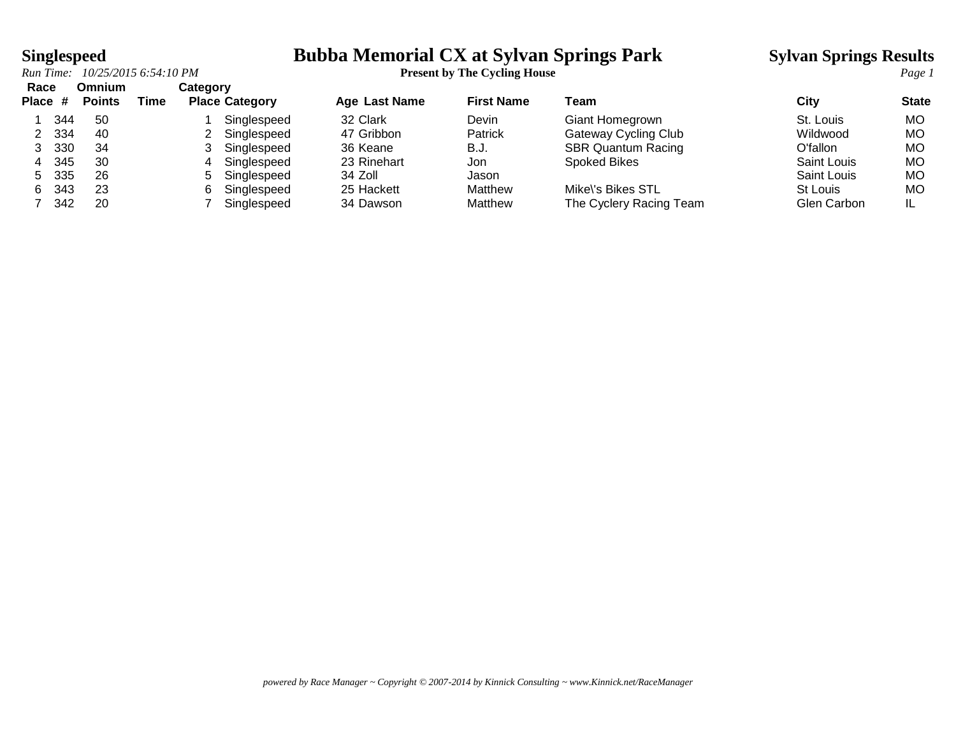# **Singlespeed**<br>*Run Time:* 10/25/2015 6:54:10 PM<br>**Run Time:** 10/25/2015 6:54:10 PM<br>**Present by The Cycling House**

| Race<br>Place # |     | Omnium<br><b>Points</b> | Time | Category | <b>Place Category</b> | <b>Age Last Name</b> | <b>First Name</b> | Team                      | City        | <b>State</b> |
|-----------------|-----|-------------------------|------|----------|-----------------------|----------------------|-------------------|---------------------------|-------------|--------------|
|                 | 344 | -50                     |      |          | Singlespeed           | 32 Clark             | Devin             | Giant Homegrown           | St. Louis   | MO.          |
|                 | 334 | 40                      |      |          | Singlespeed           | 47 Gribbon           | Patrick           | Gateway Cycling Club      | Wildwood    | МO           |
|                 | 330 | 34                      |      |          | Singlespeed           | 36 Keane             | B.J.              | <b>SBR Quantum Racing</b> | O'fallon    | МO           |
| 4               | 345 | 30                      |      |          | Singlespeed           | 23 Rinehart          | Jon.              | <b>Spoked Bikes</b>       | Saint Louis | МO           |
| 5.              | 335 | 26                      |      | 5.       | Singlespeed           | 34 Zoll              | Jason             |                           | Saint Louis | МO           |
| 6.              | 343 | 23                      |      | 6        | Singlespeed           | 25 Hackett           | Matthew           | Mike\'s Bikes STL         | St Louis    | МO           |
|                 | 342 | 20                      |      |          | Singlespeed           | 34 Dawson            | Matthew           | The Cyclery Racing Team   | Glen Carbon | IL           |

*powered by Race Manager ~ Copyright © 2007-2014 by Kinnick Consulting ~ www.Kinnick.net/RaceManager*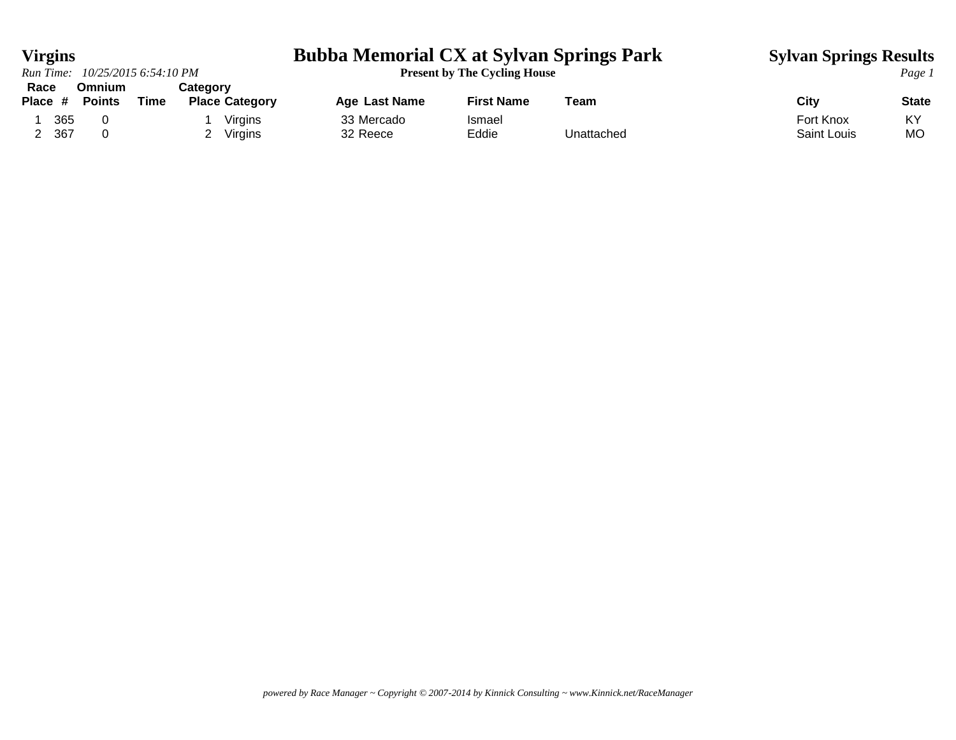*Run Time:*  $10/25/20156:54:10 PM$ 

# **Virgins**<br> **Bubba Memorial CX at Sylvan Springs Park** Sylvan Springs Results<br> **Page 1 Present by The Cycling House**

| Race    |      | Omnium        |      | Cateɑorv |                       |               |                   |            |             |              |
|---------|------|---------------|------|----------|-----------------------|---------------|-------------------|------------|-------------|--------------|
| Place # |      | <b>Points</b> | Time |          | <b>Place Category</b> | Age Last Name | <b>First Name</b> | Team       | City        | <b>State</b> |
|         | 365  |               |      |          | Virgins               | 33 Mercado    | Ismael            |            | Fort Knox   | KY           |
|         | -367 |               |      |          | Virgins               | 32 Reece      | Eddie             | Unattached | Saint Louis | МC           |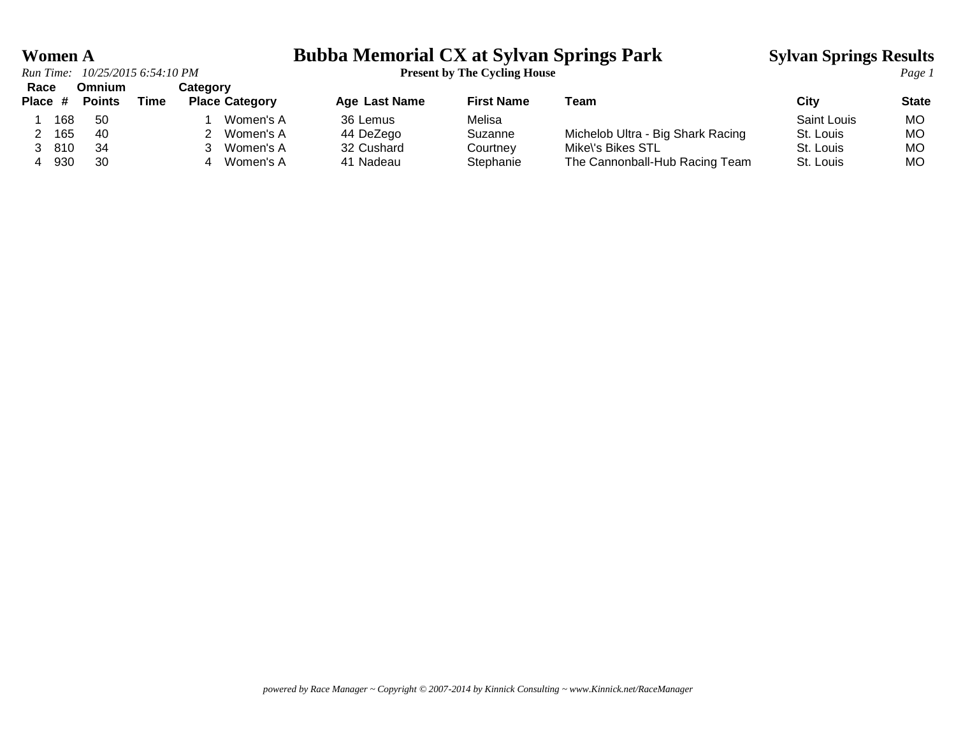# **Women A**<br>**Bubba Memorial CX at Sylvan Springs Park Sylvan Springs Results**<br>**Present by The Cycling House**

| Race<br>Place # |     | <b>Omnium</b><br><b>Points</b> | Time | <b>Category</b><br><b>Place Category</b> | Age Last Name | <b>First Name</b> | Team                              | City        | <b>State</b> |
|-----------------|-----|--------------------------------|------|------------------------------------------|---------------|-------------------|-----------------------------------|-------------|--------------|
|                 | 168 | -50                            |      | Women's A                                | 36 Lemus      | Melisa            |                                   | Saint Louis | <b>MO</b>    |
|                 | 165 | -40                            |      | Women's A                                | 44 DeZego     | Suzanne           | Michelob Ultra - Big Shark Racing | St. Louis   | <b>MO</b>    |
|                 | 810 | -34                            |      | Women's A                                | 32 Cushard    | Courtney          | Mike\'s Bikes STL                 | St. Louis   | <b>MO</b>    |
|                 | 930 | 30                             |      | Women's A                                | 41 Nadeau     | Stephanie         | The Cannonball-Hub Racing Team    | St. Louis   | МO           |